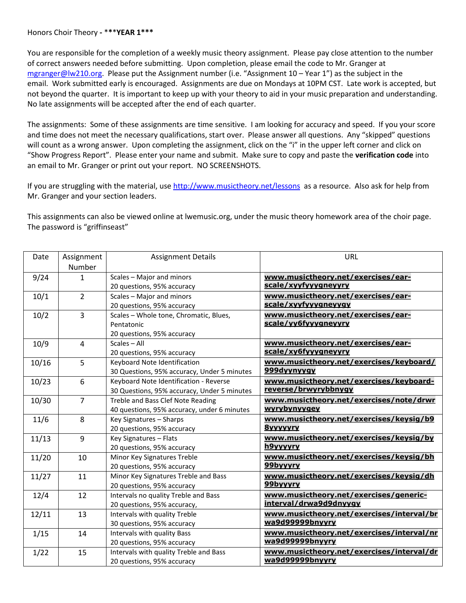## Honors Choir Theory **-** \***\***\***YEAR 1\*\*\***

You are responsible for the completion of a weekly music theory assignment. Please pay close attention to the number of correct answers needed before submitting. Upon completion, please email the code to Mr. Granger at [mgranger@lw210.org.](mailto:mgranger@lw210.org) Please put the Assignment number (i.e. "Assignment 10 – Year 1") as the subject in the email. Work submitted early is encouraged. Assignments are due on Mondays at 10PM CST. Late work is accepted, but not beyond the quarter. It is important to keep up with your theory to aid in your music preparation and understanding. No late assignments will be accepted after the end of each quarter.

The assignments: Some of these assignments are time sensitive. I am looking for accuracy and speed. If you your score and time does not meet the necessary qualifications, start over. Please answer all questions. Any "skipped" questions will count as a wrong answer. Upon completing the assignment, click on the "i" in the upper left corner and click on "Show Progress Report". Please enter your name and submit. Make sure to copy and paste the **verification code** into an email to Mr. Granger or print out your report. NO SCREENSHOTS.

If you are struggling with the material, us[e http://www.musictheory.net/lessons](http://www.musictheory.net/lessons) as a resource. Also ask for help from Mr. Granger and your section leaders.

This assignments can also be viewed online at lwemusic.org, under the music theory homework area of the choir page. The password is "griffinseast"

| Date  | Assignment     | <b>Assignment Details</b>                   | <b>URL</b>                                |
|-------|----------------|---------------------------------------------|-------------------------------------------|
|       | Number         |                                             |                                           |
| 9/24  | $\mathbf{1}$   | Scales - Major and minors                   | www.musictheory.net/exercises/ear-        |
|       |                | 20 questions, 95% accuracy                  | scale/xyyfyyygneyyry                      |
| 10/1  | $\overline{2}$ | Scales - Major and minors                   | www.musictheory.net/exercises/ear-        |
|       |                | 20 questions, 95% accuracy                  | scale/xyyfyyygneyygy                      |
| 10/2  | $\overline{3}$ | Scales - Whole tone, Chromatic, Blues,      | www.musictheory.net/exercises/ear-        |
|       |                | Pentatonic                                  | scale/vy6fyyygneyyry                      |
|       |                | 20 questions, 95% accuracy                  |                                           |
| 10/9  | $\overline{4}$ | Scales - All                                | www.musictheory.net/exercises/ear-        |
|       |                | 20 questions, 95% accuracy                  | scale/xy6fyyygneyyry                      |
| 10/16 | 5              | Keyboard Note Identification                | www.musictheory.net/exercises/keyboard/   |
|       |                | 30 Questions, 95% accuracy, Under 5 minutes | 999dvynyvav                               |
| 10/23 | 6              | Keyboard Note Identification - Reverse      | www.musictheory.net/exercises/keyboard-   |
|       |                | 30 Questions, 95% accuracy, Under 5 minutes | reverse/brwyrybbnygy                      |
| 10/30 | $\overline{7}$ | Treble and Bass Clef Note Reading           | www.musictheory.net/exercises/note/drwr   |
|       |                | 40 questions, 95% accuracy, under 6 minutes | wyrybynyygey                              |
| 11/6  | 8              | Key Signatures - Sharps                     | www.musictheory.net/exercises/keysig/b9   |
|       |                | 20 questions, 95% accuracy                  | <u>8yyyyyry</u>                           |
| 11/13 | 9              | Key Signatures - Flats                      | www.musictheory.net/exercises/keysig/by   |
|       |                | 20 questions, 95% accuracy                  | h9vvvvrv                                  |
| 11/20 | 10             | Minor Key Signatures Treble                 | www.musictheory.net/exercises/keysig/bh   |
|       |                | 20 questions, 95% accuracy                  | 99byyyry                                  |
| 11/27 | 11             | Minor Key Signatures Treble and Bass        | www.musictheory.net/exercises/keysig/dh   |
|       |                | 20 questions, 95% accuracy                  | 99bvvvrv                                  |
| 12/4  | 12             | Intervals no quality Treble and Bass        | www.musictheory.net/exercises/generic-    |
|       |                | 20 questions, 95% accuracy,                 | interval/drwa9d9dnyygy                    |
| 12/11 | 13             | Intervals with quality Treble               | www.musictheory.net/exercises/interval/br |
|       |                | 30 questions, 95% accuracy                  | wa9d99999bnyyry                           |
| 1/15  | 14             | Intervals with quality Bass                 | www.musictheory.net/exercises/interval/nr |
|       |                | 20 questions, 95% accuracy                  | wa9d99999bnyyry                           |
| 1/22  | 15             | Intervals with quality Treble and Bass      | www.musictheory.net/exercises/interval/dr |
|       |                | 20 questions, 95% accuracy                  | wa9d99999bnyyry                           |